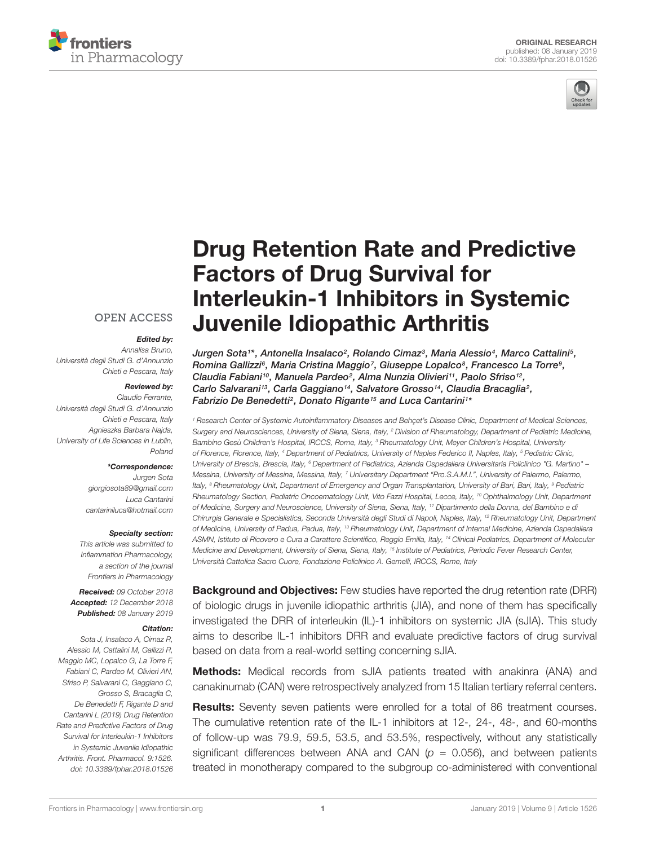



# [Drug Retention Rate and Predictive](https://www.frontiersin.org/articles/10.3389/fphar.2018.01526/full) Factors of Drug Survival for Interleukin-1 Inhibitors in Systemic Juvenile Idiopathic Arthritis

[Jurgen Sota](http://loop.frontiersin.org/people/660756/overview)1\*, [Antonella Insalaco](http://loop.frontiersin.org/people/644240/overview)<sup>2</sup>, [Rolando Cimaz](http://loop.frontiersin.org/people/506305/overview)<sup>3</sup>, Maria Alessio<sup>4</sup>, Marco Cattalini<sup>5</sup>, Romina Gallizzi<sup>s</sup>, Maria Cristina Maggio<sup>7</sup>, [Giuseppe Lopalco](http://loop.frontiersin.org/people/378909/overview)<sup>s</sup>, Francesco La Torre<sup>s</sup>, [Claudia Fabiani](http://loop.frontiersin.org/people/374154/overview)<sup>10</sup>, Manuela Pardeo<sup>2</sup>, Alma Nunzia Olivieri<sup>11</sup>, [Paolo Sfriso](http://loop.frontiersin.org/people/81045/overview)<sup>12</sup>, Carlo Salvarani<sup>13</sup>, [Carla Gaggiano](http://loop.frontiersin.org/people/626068/overview)<sup>14</sup>, [Salvatore Grosso](http://loop.frontiersin.org/people/228825/overview)<sup>14</sup>, Claudia Bracaglia<sup>2</sup>, Fabrizio De Benedetti<sup>2</sup>, [Donato Rigante](http://loop.frontiersin.org/people/89436/overview)<sup>15</sup> and [Luca Cantarini](http://loop.frontiersin.org/people/80476/overview)<sup>1\*</sup>

<sup>1</sup> Research Center of Systemic Autoinflammatory Diseases and Behçet's Disease Clinic, Department of Medical Sciences, Surgery and Neurosciences, University of Siena, Siena, Italy, <sup>2</sup> Division of Rheumatology, Department of Pediatric Medicine, Bambino Gesù Children's Hospital, IRCCS, Rome, Italy, <sup>3</sup> Rheumatology Unit, Meyer Children's Hospital, University of Florence, Florence, Italy, <sup>4</sup> Department of Pediatrics, University of Naples Federico II, Naples, Italy, <sup>5</sup> Pediatric Clinic, University of Brescia, Brescia, Italy, <sup>6</sup> Department of Pediatrics, Azienda Ospedaliera Universitaria Policlinico "G. Martino" – Messina, University of Messina, Messina, Italy, 7 Universitary Department "Pro.S.A.M.I.", University of Palermo, Palermo, Italy, <sup>8</sup> Rheumatology Unit, Department of Emergency and Organ Transplantation, University of Bari, Bari, Italy, <sup>9</sup> Pediatric Rheumatology Section, Pediatric Oncoematology Unit, Vito Fazzi Hospital, Lecce, Italy, <sup>10</sup> Ophthalmology Unit, Department of Medicine, Surgery and Neuroscience, University of Siena, Siena, Italy, <sup>11</sup> Dipartimento della Donna, del Bambino e di Chirurgia Generale e Specialistica, Seconda Università degli Studi di Napoli, Naples, Italy, <sup>12</sup> Rheumatology Unit, Department of Medicine, University of Padua, Padua, Italy, <sup>13</sup> Rheumatology Unit, Department of Internal Medicine, Azienda Ospedaliera ASMN, Istituto di Ricovero e Cura a Carattere Scientifico, Reggio Emilia, Italy, <sup>14</sup> Clinical Pediatrics, Department of Molecular Medicine and Development, University of Siena, Siena, Italy, <sup>15</sup> Institute of Pediatrics, Periodic Fever Research Center, Università Cattolica Sacro Cuore, Fondazione Policlinico A. Gemelli, IRCCS, Rome, Italy

**Background and Objectives:** Few studies have reported the drug retention rate (DRR) of biologic drugs in juvenile idiopathic arthritis (JIA), and none of them has specifically investigated the DRR of interleukin (IL)-1 inhibitors on systemic JIA (sJIA). This study aims to describe IL-1 inhibitors DRR and evaluate predictive factors of drug survival based on data from a real-world setting concerning sJIA.

Methods: Medical records from sJIA patients treated with anakinra (ANA) and canakinumab (CAN) were retrospectively analyzed from 15 Italian tertiary referral centers.

**Results:** Seventy seven patients were enrolled for a total of 86 treatment courses. The cumulative retention rate of the IL-1 inhibitors at 12-, 24-, 48-, and 60-months of follow-up was 79.9, 59.5, 53.5, and 53.5%, respectively, without any statistically significant differences between ANA and CAN ( $p = 0.056$ ), and between patients treated in monotherapy compared to the subgroup co-administered with conventional

#### **OPEN ACCESS**

#### Edited by:

Annalisa Bruno, Università degli Studi G. d'Annunzio Chieti e Pescara, Italy

#### Reviewed by:

Claudio Ferrante, Università degli Studi G. d'Annunzio Chieti e Pescara, Italy Agnieszka Barbara Najda, University of Life Sciences in Lublin, Poland

#### \*Correspondence:

Jurgen Sota giorgiosota89@gmail.com Luca Cantarini cantariniluca@hotmail.com

#### Specialty section:

This article was submitted to Inflammation Pharmacology, a section of the journal Frontiers in Pharmacology

Received: 09 October 2018 Accepted: 12 December 2018 Published: 08 January 2019

#### Citation:

Sota J, Insalaco A, Cimaz R, Alessio M, Cattalini M, Gallizzi R, Maggio MC, Lopalco G, La Torre F, Fabiani C, Pardeo M, Olivieri AN, Sfriso P, Salvarani C, Gaggiano C, Grosso S, Bracaglia C, De Benedetti F, Rigante D and Cantarini L (2019) Drug Retention Rate and Predictive Factors of Drug Survival for Interleukin-1 Inhibitors in Systemic Juvenile Idiopathic Arthritis. Front. Pharmacol. 9:1526. doi: [10.3389/fphar.2018.01526](https://doi.org/10.3389/fphar.2018.01526)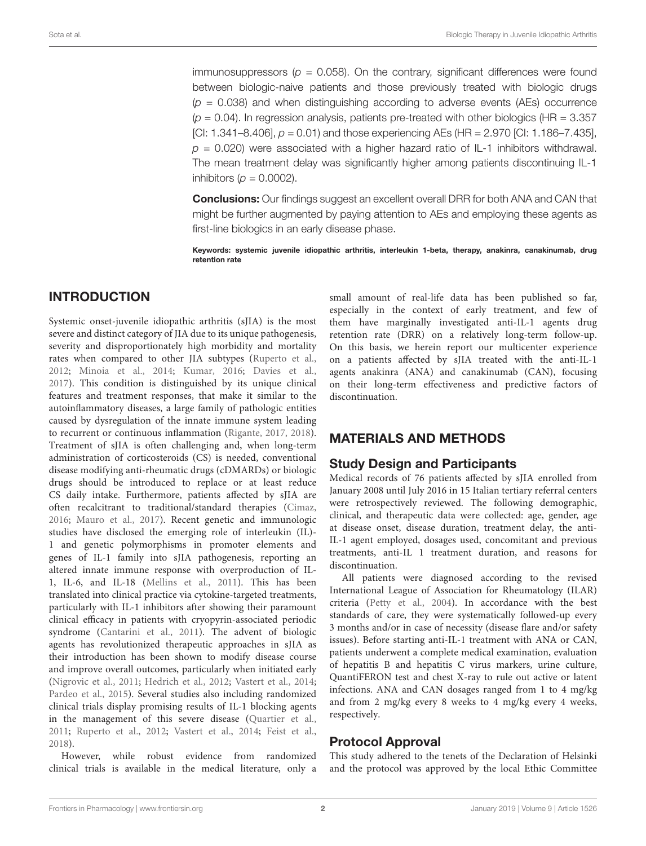immunosuppressors ( $p = 0.058$ ). On the contrary, significant differences were found between biologic-naive patients and those previously treated with biologic drugs  $(p = 0.038)$  and when distinguishing according to adverse events (AEs) occurrence  $(p = 0.04)$ . In regression analysis, patients pre-treated with other biologics (HR = 3.357) [CI: 1.341–8.406],  $p = 0.01$  and those experiencing AEs (HR = 2.970 [CI: 1.186–7.435],  $p = 0.020$ ) were associated with a higher hazard ratio of IL-1 inhibitors withdrawal. The mean treatment delay was significantly higher among patients discontinuing IL-1 inhibitors ( $p = 0.0002$ ).

Conclusions: Our findings suggest an excellent overall DRR for both ANA and CAN that might be further augmented by paying attention to AEs and employing these agents as first-line biologics in an early disease phase.

Keywords: systemic juvenile idiopathic arthritis, interleukin 1-beta, therapy, anakinra, canakinumab, drug retention rate

# INTRODUCTION

Systemic onset-juvenile idiopathic arthritis (sJIA) is the most severe and distinct category of JIA due to its unique pathogenesis, severity and disproportionately high morbidity and mortality rates when compared to other JIA subtypes [\(Ruperto et al.,](#page-5-0) [2012;](#page-5-0) [Minoia et al.,](#page-5-1) [2014;](#page-5-1) [Kumar,](#page-5-2) [2016;](#page-5-2) [Davies et al.,](#page-5-3) [2017\)](#page-5-3). This condition is distinguished by its unique clinical features and treatment responses, that make it similar to the autoinflammatory diseases, a large family of pathologic entities caused by dysregulation of the innate immune system leading to recurrent or continuous inflammation [\(Rigante,](#page-5-4) [2017,](#page-5-4) [2018\)](#page-5-5). Treatment of sJIA is often challenging and, when long-term administration of corticosteroids (CS) is needed, conventional disease modifying anti-rheumatic drugs (cDMARDs) or biologic drugs should be introduced to replace or at least reduce CS daily intake. Furthermore, patients affected by sJIA are often recalcitrant to traditional/standard therapies [\(Cimaz,](#page-5-6) [2016;](#page-5-6) [Mauro et al.,](#page-5-7) [2017\)](#page-5-7). Recent genetic and immunologic studies have disclosed the emerging role of interleukin (IL)- 1 and genetic polymorphisms in promoter elements and genes of IL-1 family into sJIA pathogenesis, reporting an altered innate immune response with overproduction of IL-1, IL-6, and IL-18 [\(Mellins et al.,](#page-5-8) [2011\)](#page-5-8). This has been translated into clinical practice via cytokine-targeted treatments, particularly with IL-1 inhibitors after showing their paramount clinical efficacy in patients with cryopyrin-associated periodic syndrome [\(Cantarini et al.,](#page-5-9) [2011\)](#page-5-9). The advent of biologic agents has revolutionized therapeutic approaches in sJIA as their introduction has been shown to modify disease course and improve overall outcomes, particularly when initiated early [\(Nigrovic et al.,](#page-5-10) [2011;](#page-5-10) [Hedrich et al.,](#page-5-11) [2012;](#page-5-11) [Vastert et al.,](#page-6-0) [2014;](#page-6-0) [Pardeo et al.,](#page-5-12) [2015\)](#page-5-12). Several studies also including randomized clinical trials display promising results of IL-1 blocking agents in the management of this severe disease [\(Quartier et al.,](#page-5-13) [2011;](#page-5-13) [Ruperto et al.,](#page-5-0) [2012;](#page-5-0) [Vastert et al.,](#page-6-0) [2014;](#page-6-0) [Feist et al.,](#page-5-14) [2018\)](#page-5-14).

However, while robust evidence from randomized clinical trials is available in the medical literature, only a

small amount of real-life data has been published so far, especially in the context of early treatment, and few of them have marginally investigated anti-IL-1 agents drug retention rate (DRR) on a relatively long-term follow-up. On this basis, we herein report our multicenter experience on a patients affected by sJIA treated with the anti-IL-1 agents anakinra (ANA) and canakinumab (CAN), focusing on their long-term effectiveness and predictive factors of discontinuation.

# MATERIALS AND METHODS

# Study Design and Participants

Medical records of 76 patients affected by sJIA enrolled from January 2008 until July 2016 in 15 Italian tertiary referral centers were retrospectively reviewed. The following demographic, clinical, and therapeutic data were collected: age, gender, age at disease onset, disease duration, treatment delay, the anti-IL-1 agent employed, dosages used, concomitant and previous treatments, anti-IL 1 treatment duration, and reasons for discontinuation.

All patients were diagnosed according to the revised International League of Association for Rheumatology (ILAR) criteria [\(Petty et al.,](#page-5-15) [2004\)](#page-5-15). In accordance with the best standards of care, they were systematically followed-up every 3 months and/or in case of necessity (disease flare and/or safety issues). Before starting anti-IL-1 treatment with ANA or CAN, patients underwent a complete medical examination, evaluation of hepatitis B and hepatitis C virus markers, urine culture, QuantiFERON test and chest X-ray to rule out active or latent infections. ANA and CAN dosages ranged from 1 to 4 mg/kg and from 2 mg/kg every 8 weeks to 4 mg/kg every 4 weeks, respectively.

# Protocol Approval

This study adhered to the tenets of the Declaration of Helsinki and the protocol was approved by the local Ethic Committee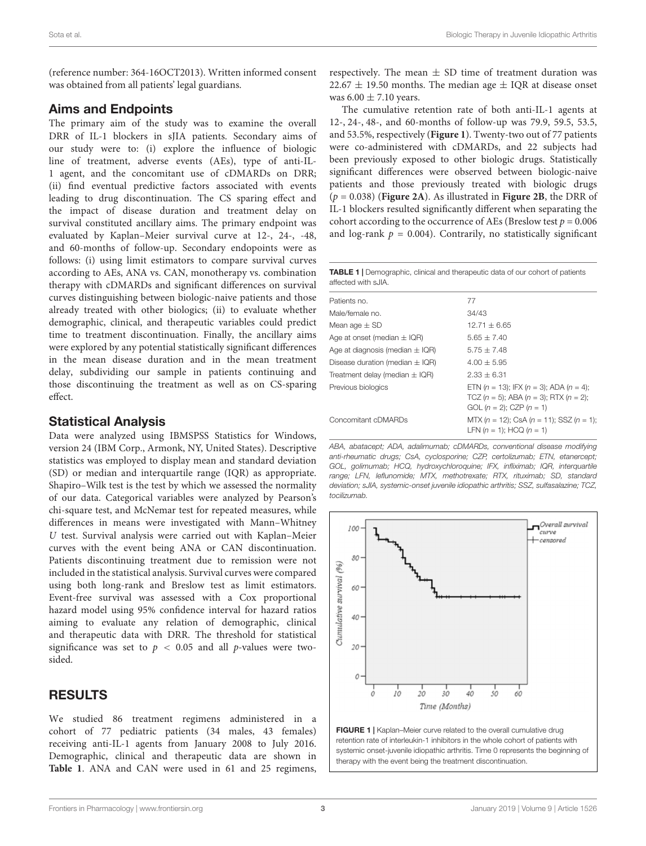(reference number: 364-16OCT2013). Written informed consent was obtained from all patients' legal guardians.

### Aims and Endpoints

The primary aim of the study was to examine the overall DRR of IL-1 blockers in sJIA patients. Secondary aims of our study were to: (i) explore the influence of biologic line of treatment, adverse events (AEs), type of anti-IL-1 agent, and the concomitant use of cDMARDs on DRR; (ii) find eventual predictive factors associated with events leading to drug discontinuation. The CS sparing effect and the impact of disease duration and treatment delay on survival constituted ancillary aims. The primary endpoint was evaluated by Kaplan–Meier survival curve at 12-, 24-, -48, and 60-months of follow-up. Secondary endopoints were as follows: (i) using limit estimators to compare survival curves according to AEs, ANA vs. CAN, monotherapy vs. combination therapy with cDMARDs and significant differences on survival curves distinguishing between biologic-naive patients and those already treated with other biologics; (ii) to evaluate whether demographic, clinical, and therapeutic variables could predict time to treatment discontinuation. Finally, the ancillary aims were explored by any potential statistically significant differences in the mean disease duration and in the mean treatment delay, subdividing our sample in patients continuing and those discontinuing the treatment as well as on CS-sparing effect.

#### Statistical Analysis

Data were analyzed using IBMSPSS Statistics for Windows, version 24 (IBM Corp., Armonk, NY, United States). Descriptive statistics was employed to display mean and standard deviation (SD) or median and interquartile range (IQR) as appropriate. Shapiro–Wilk test is the test by which we assessed the normality of our data. Categorical variables were analyzed by Pearson's chi-square test, and McNemar test for repeated measures, while differences in means were investigated with Mann–Whitney U test. Survival analysis were carried out with Kaplan–Meier curves with the event being ANA or CAN discontinuation. Patients discontinuing treatment due to remission were not included in the statistical analysis. Survival curves were compared using both long-rank and Breslow test as limit estimators. Event-free survival was assessed with a Cox proportional hazard model using 95% confidence interval for hazard ratios aiming to evaluate any relation of demographic, clinical and therapeutic data with DRR. The threshold for statistical significance was set to  $p < 0.05$  and all p-values were twosided.

## RESULTS

We studied 86 treatment regimens administered in a cohort of 77 pediatric patients (34 males, 43 females) receiving anti-IL-1 agents from January 2008 to July 2016. Demographic, clinical and therapeutic data are shown in **[Table 1](#page-2-0)**. ANA and CAN were used in 61 and 25 regimens, respectively. The mean  $\pm$  SD time of treatment duration was  $22.67 \pm 19.50$  months. The median age  $\pm$  IQR at disease onset was  $6.00 \pm 7.10$  years.

The cumulative retention rate of both anti-IL-1 agents at 12-, 24-, 48-, and 60-months of follow-up was 79.9, 59.5, 53.5, and 53.5%, respectively (**[Figure 1](#page-2-1)**). Twenty-two out of 77 patients were co-administered with cDMARDs, and 22 subjects had been previously exposed to other biologic drugs. Statistically significant differences were observed between biologic-naive patients and those previously treated with biologic drugs (p = 0.038) (**[Figure 2A](#page-3-0)**). As illustrated in **[Figure 2B](#page-3-0)**, the DRR of IL-1 blockers resulted significantly different when separating the cohort according to the occurrence of AEs (Breslow test  $p = 0.006$ and log-rank  $p = 0.004$ ). Contrarily, no statistically significant

<span id="page-2-0"></span>

| TABLE 1   Demographic, clinical and therapeutic data of our cohort of patients |  |  |
|--------------------------------------------------------------------------------|--|--|
| affected with sJIA.                                                            |  |  |

| Patients no.                        | 77                                                                                                                                   |
|-------------------------------------|--------------------------------------------------------------------------------------------------------------------------------------|
| Male/female no.                     | 34/43                                                                                                                                |
| Mean age $\pm$ SD                   | $12.71 \pm 6.65$                                                                                                                     |
| Age at onset (median $\pm$ IQR)     | $5.65 \pm 7.40$                                                                                                                      |
| Age at diagnosis (median $\pm$ IQR) | $5.75 + 7.48$                                                                                                                        |
| Disease duration (median $\pm$ IQR) | $4.00 + 5.95$                                                                                                                        |
| Treatment delay (median $\pm$ IQR)  | $2.33 + 6.31$                                                                                                                        |
| Previous biologics                  | ETN $(n = 13)$ : IFX $(n = 3)$ : ADA $(n = 4)$ :<br>TCZ $(n = 5)$ ; ABA $(n = 3)$ ; RTX $(n = 2)$ ;<br>GOL $(n = 2)$ ; CZP $(n = 1)$ |
| Concomitant cDMARDs                 | MTX $(n = 12)$ ; CsA $(n = 11)$ ; SSZ $(n = 1)$ ;<br>LFN $(n = 1)$ : HCQ $(n = 1)$                                                   |

ABA, abatacept; ADA, adalimumab; cDMARDs, conventional disease modifying anti-rheumatic drugs; CsA, cyclosporine; CZP, certolizumab; ETN, etanercept; GOL, golimumab; HCQ, hydroxychloroquine; IFX, infliximab; IQR, interquartile range; LFN, leflunomide; MTX, methotrexate; RTX, rituximab; SD, standard deviation; sJIA, systemic-onset juvenile idiopathic arthritis; SSZ, sulfasalazine; TCZ, tocilizumab.



<span id="page-2-1"></span>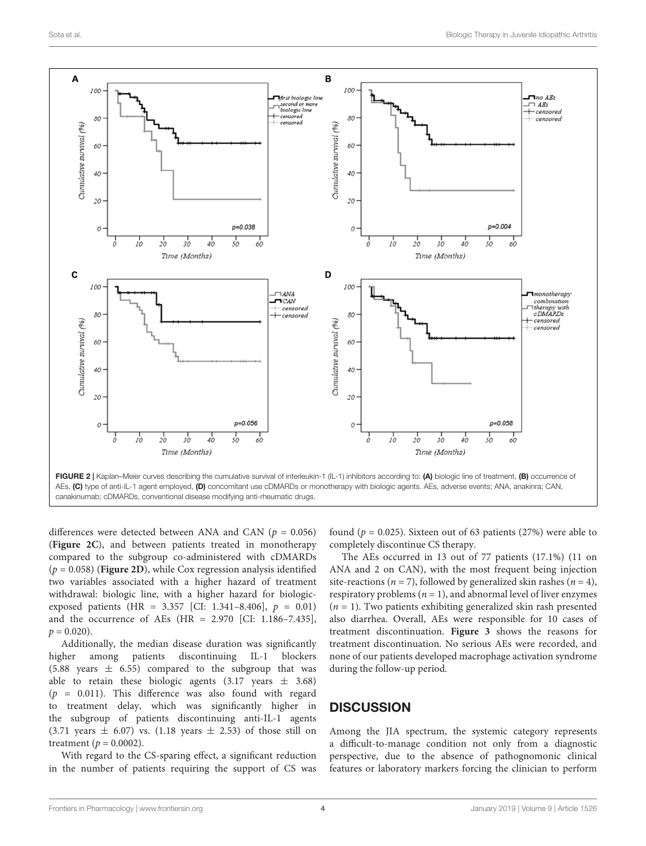

<span id="page-3-0"></span>differences were detected between ANA and CAN ( $p = 0.056$ ) (**[Figure 2C](#page-3-0)**), and between patients treated in monotherapy compared to the subgroup co-administered with cDMARDs  $(p = 0.058)$  (**[Figure 2D](#page-3-0)**), while Cox regression analysis identified two variables associated with a higher hazard of treatment withdrawal: biologic line, with a higher hazard for biologicexposed patients (HR = 3.357 [CI: 1.341-8.406],  $p = 0.01$ ) and the occurrence of AEs (HR = 2.970 [CI: 1.186–7.435],  $p = 0.020$ ).

Additionally, the median disease duration was significantly higher among patients discontinuing IL-1 blockers (5.88 years  $\pm$  6.55) compared to the subgroup that was able to retain these biologic agents  $(3.17 \text{ years } \pm 3.68)$  $(p = 0.011)$ . This difference was also found with regard to treatment delay, which was significantly higher in the subgroup of patients discontinuing anti-IL-1 agents (3.71 years  $\pm$  6.07) vs. (1.18 years  $\pm$  2.53) of those still on treatment ( $p = 0.0002$ ).

With regard to the CS-sparing effect, a significant reduction in the number of patients requiring the support of CS was found ( $p = 0.025$ ). Sixteen out of 63 patients (27%) were able to completely discontinue CS therapy.

The AEs occurred in 13 out of 77 patients (17.1%) (11 on ANA and 2 on CAN), with the most frequent being injection site-reactions ( $n = 7$ ), followed by generalized skin rashes ( $n = 4$ ), respiratory problems ( $n = 1$ ), and abnormal level of liver enzymes  $(n = 1)$ . Two patients exhibiting generalized skin rash presented also diarrhea. Overall, AEs were responsible for 10 cases of treatment discontinuation. **[Figure 3](#page-4-0)** shows the reasons for treatment discontinuation. No serious AEs were recorded, and none of our patients developed macrophage activation syndrome during the follow-up period.

## **DISCUSSION**

Among the JIA spectrum, the systemic category represents a difficult-to-manage condition not only from a diagnostic perspective, due to the absence of pathognomonic clinical features or laboratory markers forcing the clinician to perform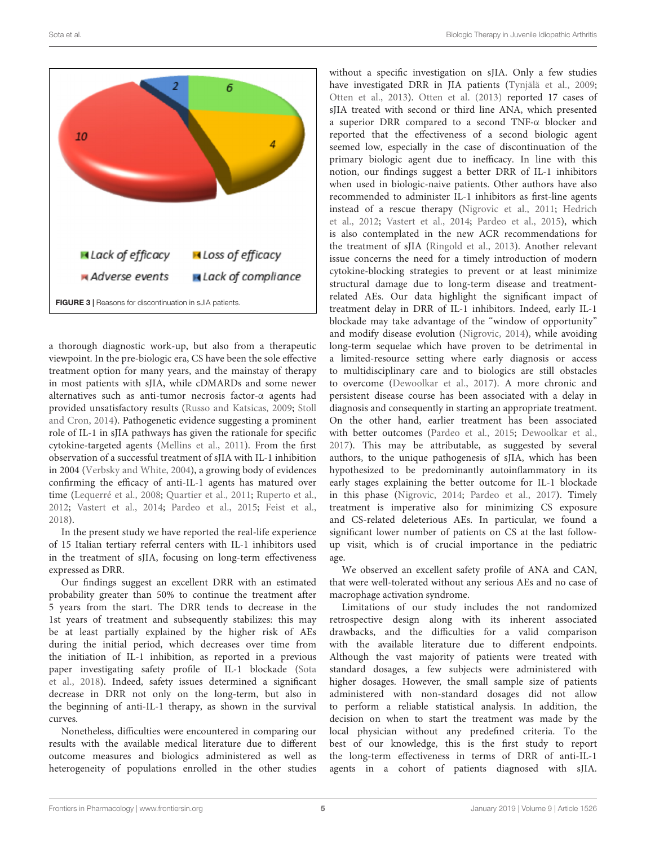

<span id="page-4-0"></span>a thorough diagnostic work-up, but also from a therapeutic viewpoint. In the pre-biologic era, CS have been the sole effective treatment option for many years, and the mainstay of therapy in most patients with sJIA, while cDMARDs and some newer alternatives such as anti-tumor necrosis factor-α agents had provided unsatisfactory results [\(Russo and Katsicas,](#page-5-16) [2009;](#page-5-16) [Stoll](#page-5-17) [and Cron,](#page-5-17) [2014\)](#page-5-17). Pathogenetic evidence suggesting a prominent role of IL-1 in sJIA pathways has given the rationale for specific cytokine-targeted agents [\(Mellins et al.,](#page-5-8) [2011\)](#page-5-8). From the first observation of a successful treatment of sJIA with IL-1 inhibition in 2004 [\(Verbsky and White,](#page-6-1) [2004\)](#page-6-1), a growing body of evidences confirming the efficacy of anti-IL-1 agents has matured over time [\(Lequerré et al.,](#page-5-18) [2008;](#page-5-18) [Quartier et al.,](#page-5-13) [2011;](#page-5-13) [Ruperto et al.,](#page-5-0) [2012;](#page-5-0) [Vastert et al.,](#page-6-0) [2014;](#page-6-0) [Pardeo et al.,](#page-5-12) [2015;](#page-5-12) [Feist et al.,](#page-5-14) [2018\)](#page-5-14).

In the present study we have reported the real-life experience of 15 Italian tertiary referral centers with IL-1 inhibitors used in the treatment of sJIA, focusing on long-term effectiveness expressed as DRR.

Our findings suggest an excellent DRR with an estimated probability greater than 50% to continue the treatment after 5 years from the start. The DRR tends to decrease in the 1st years of treatment and subsequently stabilizes: this may be at least partially explained by the higher risk of AEs during the initial period, which decreases over time from the initiation of IL-1 inhibition, as reported in a previous paper investigating safety profile of IL-1 blockade [\(Sota](#page-5-19) [et al.,](#page-5-19) [2018\)](#page-5-19). Indeed, safety issues determined a significant decrease in DRR not only on the long-term, but also in the beginning of anti-IL-1 therapy, as shown in the survival curves.

Nonetheless, difficulties were encountered in comparing our results with the available medical literature due to different outcome measures and biologics administered as well as heterogeneity of populations enrolled in the other studies

without a specific investigation on sJIA. Only a few studies have investigated DRR in JIA patients [\(Tynjälä et al.,](#page-6-2) [2009;](#page-6-2) [Otten et al.,](#page-5-20) [2013\)](#page-5-20). [Otten et al.](#page-5-20) [\(2013\)](#page-5-20) reported 17 cases of sJIA treated with second or third line ANA, which presented a superior DRR compared to a second TNF-α blocker and reported that the effectiveness of a second biologic agent seemed low, especially in the case of discontinuation of the primary biologic agent due to inefficacy. In line with this notion, our findings suggest a better DRR of IL-1 inhibitors when used in biologic-naive patients. Other authors have also recommended to administer IL-1 inhibitors as first-line agents instead of a rescue therapy [\(Nigrovic et al.,](#page-5-10) [2011;](#page-5-10) [Hedrich](#page-5-11) [et al.,](#page-5-11) [2012;](#page-5-11) [Vastert et al.,](#page-6-0) [2014;](#page-6-0) [Pardeo et al.,](#page-5-12) [2015\)](#page-5-12), which is also contemplated in the new ACR recommendations for the treatment of sJIA [\(Ringold et al.,](#page-5-21) [2013\)](#page-5-21). Another relevant issue concerns the need for a timely introduction of modern cytokine-blocking strategies to prevent or at least minimize structural damage due to long-term disease and treatmentrelated AEs. Our data highlight the significant impact of treatment delay in DRR of IL-1 inhibitors. Indeed, early IL-1 blockade may take advantage of the "window of opportunity" and modify disease evolution [\(Nigrovic,](#page-5-22) [2014\)](#page-5-22), while avoiding long-term sequelae which have proven to be detrimental in a limited-resource setting where early diagnosis or access to multidisciplinary care and to biologics are still obstacles to overcome [\(Dewoolkar et al.,](#page-5-23) [2017\)](#page-5-23). A more chronic and persistent disease course has been associated with a delay in diagnosis and consequently in starting an appropriate treatment. On the other hand, earlier treatment has been associated with better outcomes [\(Pardeo et al.,](#page-5-12) [2015;](#page-5-12) [Dewoolkar et al.,](#page-5-23) [2017\)](#page-5-23). This may be attributable, as suggested by several authors, to the unique pathogenesis of sJIA, which has been hypothesized to be predominantly autoinflammatory in its early stages explaining the better outcome for IL-1 blockade in this phase [\(Nigrovic,](#page-5-22) [2014;](#page-5-22) [Pardeo et al.,](#page-5-24) [2017\)](#page-5-24). Timely treatment is imperative also for minimizing CS exposure and CS-related deleterious AEs. In particular, we found a significant lower number of patients on CS at the last followup visit, which is of crucial importance in the pediatric age.

We observed an excellent safety profile of ANA and CAN, that were well-tolerated without any serious AEs and no case of macrophage activation syndrome.

Limitations of our study includes the not randomized retrospective design along with its inherent associated drawbacks, and the difficulties for a valid comparison with the available literature due to different endpoints. Although the vast majority of patients were treated with standard dosages, a few subjects were administered with higher dosages. However, the small sample size of patients administered with non-standard dosages did not allow to perform a reliable statistical analysis. In addition, the decision on when to start the treatment was made by the local physician without any predefined criteria. To the best of our knowledge, this is the first study to report the long-term effectiveness in terms of DRR of anti-IL-1 agents in a cohort of patients diagnosed with sJIA.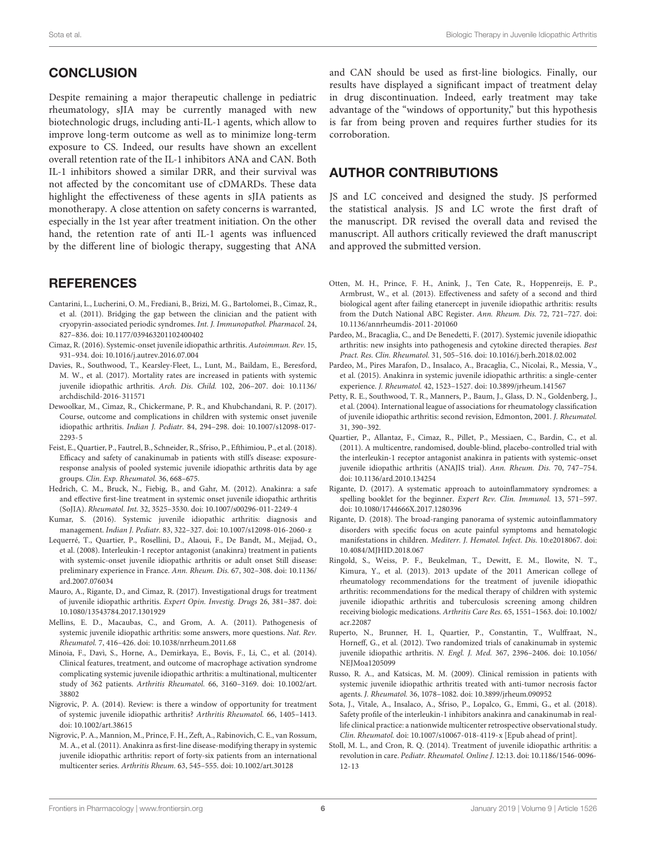# **CONCLUSION**

Despite remaining a major therapeutic challenge in pediatric rheumatology, sJIA may be currently managed with new biotechnologic drugs, including anti-IL-1 agents, which allow to improve long-term outcome as well as to minimize long-term exposure to CS. Indeed, our results have shown an excellent overall retention rate of the IL-1 inhibitors ANA and CAN. Both IL-1 inhibitors showed a similar DRR, and their survival was not affected by the concomitant use of cDMARDs. These data highlight the effectiveness of these agents in sJIA patients as monotherapy. A close attention on safety concerns is warranted, especially in the 1st year after treatment initiation. On the other hand, the retention rate of anti IL-1 agents was influenced by the different line of biologic therapy, suggesting that ANA

# **REFERENCES**

- <span id="page-5-9"></span>Cantarini, L., Lucherini, O. M., Frediani, B., Brizi, M. G., Bartolomei, B., Cimaz, R., et al. (2011). Bridging the gap between the clinician and the patient with cryopyrin-associated periodic syndromes. Int. J. Immunopathol. Pharmacol. 24, 827–836. [doi: 10.1177/039463201102400402](https://doi.org/10.1177/039463201102400402)
- <span id="page-5-6"></span>Cimaz, R. (2016). Systemic-onset juvenile idiopathic arthritis. Autoimmun. Rev. 15, 931–934. [doi: 10.1016/j.autrev.2016.07.004](https://doi.org/10.1016/j.autrev.2016.07.004)
- <span id="page-5-3"></span>Davies, R., Southwood, T., Kearsley-Fleet, L., Lunt, M., Baildam, E., Beresford, M. W., et al. (2017). Mortality rates are increased in patients with systemic juvenile idiopathic arthritis. Arch. Dis. Child. 102, 206–207. [doi: 10.1136/](https://doi.org/10.1136/archdischild-2016-311571) [archdischild-2016-311571](https://doi.org/10.1136/archdischild-2016-311571)
- <span id="page-5-23"></span>Dewoolkar, M., Cimaz, R., Chickermane, P. R., and Khubchandani, R. P. (2017). Course, outcome and complications in children with systemic onset juvenile idiopathic arthritis. Indian J. Pediatr. 84, 294–298. [doi: 10.1007/s12098-017-](https://doi.org/10.1007/s12098-017-2293-5) [2293-5](https://doi.org/10.1007/s12098-017-2293-5)
- <span id="page-5-14"></span>Feist, E., Quartier, P., Fautrel, B., Schneider, R., Sfriso, P., Efthimiou, P., et al. (2018). Efficacy and safety of canakinumab in patients with still's disease: exposureresponse analysis of pooled systemic juvenile idiopathic arthritis data by age groups. Clin. Exp. Rheumatol. 36, 668–675.
- <span id="page-5-11"></span>Hedrich, C. M., Bruck, N., Fiebig, B., and Gahr, M. (2012). Anakinra: a safe and effective first-line treatment in systemic onset juvenile idiopathic arthritis (SoJIA). Rheumatol. Int. 32, 3525–3530. [doi: 10.1007/s00296-011-2249-4](https://doi.org/10.1007/s00296-011-2249-4)
- <span id="page-5-2"></span>Kumar, S. (2016). Systemic juvenile idiopathic arthritis: diagnosis and management. Indian J. Pediatr. 83, 322–327. [doi: 10.1007/s12098-016-2060-z](https://doi.org/10.1007/s12098-016-2060-z)
- <span id="page-5-18"></span>Lequerré, T., Quartier, P., Rosellini, D., Alaoui, F., De Bandt, M., Mejjad, O., et al. (2008). Interleukin-1 receptor antagonist (anakinra) treatment in patients with systemic-onset juvenile idiopathic arthritis or adult onset Still disease: preliminary experience in France. Ann. Rheum. Dis. 67, 302–308. [doi: 10.1136/](https://doi.org/10.1136/ard.2007.076034) [ard.2007.076034](https://doi.org/10.1136/ard.2007.076034)
- <span id="page-5-7"></span>Mauro, A., Rigante, D., and Cimaz, R. (2017). Investigational drugs for treatment of juvenile idiopathic arthritis. Expert Opin. Investig. Drugs 26, 381–387. [doi:](https://doi.org/10.1080/13543784.2017.1301929) [10.1080/13543784.2017.1301929](https://doi.org/10.1080/13543784.2017.1301929)
- <span id="page-5-8"></span>Mellins, E. D., Macaubas, C., and Grom, A. A. (2011). Pathogenesis of systemic juvenile idiopathic arthritis: some answers, more questions. Nat. Rev. Rheumatol. 7, 416–426. [doi: 10.1038/nrrheum.2011.68](https://doi.org/10.1038/nrrheum.2011.68)
- <span id="page-5-1"></span>Minoia, F., Davì, S., Horne, A., Demirkaya, E., Bovis, F., Li, C., et al. (2014). Clinical features, treatment, and outcome of macrophage activation syndrome complicating systemic juvenile idiopathic arthritis: a multinational, multicenter study of 362 patients. Arthritis Rheumatol. 66, 3160–3169. [doi: 10.1002/art.](https://doi.org/10.1002/art.38802) [38802](https://doi.org/10.1002/art.38802)
- <span id="page-5-22"></span>Nigrovic, P. A. (2014). Review: is there a window of opportunity for treatment of systemic juvenile idiopathic arthritis? Arthritis Rheumatol. 66, 1405–1413. [doi: 10.1002/art.38615](https://doi.org/10.1002/art.38615)
- <span id="page-5-10"></span>Nigrovic, P. A., Mannion, M., Prince, F. H., Zeft, A., Rabinovich, C. E., van Rossum, M. A., et al. (2011). Anakinra as first-line disease-modifying therapy in systemic juvenile idiopathic arthritis: report of forty-six patients from an international multicenter series. Arthritis Rheum. 63, 545–555. [doi: 10.1002/art.30128](https://doi.org/10.1002/art.30128)

and CAN should be used as first-line biologics. Finally, our results have displayed a significant impact of treatment delay in drug discontinuation. Indeed, early treatment may take advantage of the "windows of opportunity," but this hypothesis is far from being proven and requires further studies for its corroboration.

## AUTHOR CONTRIBUTIONS

JS and LC conceived and designed the study. JS performed the statistical analysis. JS and LC wrote the first draft of the manuscript. DR revised the overall data and revised the manuscript. All authors critically reviewed the draft manuscript and approved the submitted version.

- <span id="page-5-20"></span>Otten, M. H., Prince, F. H., Anink, J., Ten Cate, R., Hoppenreijs, E. P., Armbrust, W., et al. (2013). Effectiveness and safety of a second and third biological agent after failing etanercept in juvenile idiopathic arthritis: results from the Dutch National ABC Register. Ann. Rheum. Dis. 72, 721–727. [doi:](https://doi.org/10.1136/annrheumdis-2011-201060) [10.1136/annrheumdis-2011-201060](https://doi.org/10.1136/annrheumdis-2011-201060)
- <span id="page-5-24"></span>Pardeo, M., Bracaglia, C., and De Benedetti, F. (2017). Systemic juvenile idiopathic arthritis: new insights into pathogenesis and cytokine directed therapies. Best Pract. Res. Clin. Rheumatol. 31, 505–516. [doi: 10.1016/j.berh.2018.02.002](https://doi.org/10.1016/j.berh.2018.02.002)
- <span id="page-5-12"></span>Pardeo, M., Pires Marafon, D., Insalaco, A., Bracaglia, C., Nicolai, R., Messia, V., et al. (2015). Anakinra in systemic juvenile idiopathic arthritis: a single-center experience. J. Rheumatol. 42, 1523–1527. [doi: 10.3899/jrheum.141567](https://doi.org/10.3899/jrheum.141567)
- <span id="page-5-15"></span>Petty, R. E., Southwood, T. R., Manners, P., Baum, J., Glass, D. N., Goldenberg, J., et al. (2004). International league of associations for rheumatology classification of juvenile idiopathic arthritis: second revision, Edmonton, 2001. J. Rheumatol. 31, 390–392.
- <span id="page-5-13"></span>Quartier, P., Allantaz, F., Cimaz, R., Pillet, P., Messiaen, C., Bardin, C., et al. (2011). A multicentre, randomised, double-blind, placebo-controlled trial with the interleukin-1 receptor antagonist anakinra in patients with systemic-onset juvenile idiopathic arthritis (ANAJIS trial). Ann. Rheum. Dis. 70, 747–754. [doi: 10.1136/ard.2010.134254](https://doi.org/10.1136/ard.2010.134254)
- <span id="page-5-4"></span>Rigante, D. (2017). A systematic approach to autoinflammatory syndromes: a spelling booklet for the beginner. Expert Rev. Clin. Immunol. 13, 571–597. [doi: 10.1080/1744666X.2017.1280396](https://doi.org/10.1080/1744666X.2017.1280396)
- <span id="page-5-5"></span>Rigante, D. (2018). The broad-ranging panorama of systemic autoinflammatory disorders with specific focus on acute painful symptoms and hematologic manifestations in children. Mediterr. J. Hematol. Infect. Dis. 10:e2018067. [doi:](https://doi.org/10.4084/MJHID.2018.067) [10.4084/MJHID.2018.067](https://doi.org/10.4084/MJHID.2018.067)
- <span id="page-5-21"></span>Ringold, S., Weiss, P. F., Beukelman, T., Dewitt, E. M., Ilowite, N. T., Kimura, Y., et al. (2013). 2013 update of the 2011 American college of rheumatology recommendations for the treatment of juvenile idiopathic arthritis: recommendations for the medical therapy of children with systemic juvenile idiopathic arthritis and tuberculosis screening among children receiving biologic medications. Arthritis Care Res. 65, 1551–1563. [doi: 10.1002/](https://doi.org/10.1002/acr.22087) [acr.22087](https://doi.org/10.1002/acr.22087)
- <span id="page-5-0"></span>Ruperto, N., Brunner, H. I., Quartier, P., Constantin, T., Wulffraat, N., Horneff, G., et al. (2012). Two randomized trials of canakinumab in systemic juvenile idiopathic arthritis. N. Engl. J. Med. 367, 2396–2406. [doi: 10.1056/](https://doi.org/10.1056/NEJMoa1205099) [NEJMoa1205099](https://doi.org/10.1056/NEJMoa1205099)
- <span id="page-5-16"></span>Russo, R. A., and Katsicas, M. M. (2009). Clinical remission in patients with systemic juvenile idiopathic arthritis treated with anti-tumor necrosis factor agents. J. Rheumatol. 36, 1078–1082. [doi: 10.3899/jrheum.090952](https://doi.org/10.3899/jrheum.090952)
- <span id="page-5-19"></span>Sota, J., Vitale, A., Insalaco, A., Sfriso, P., Lopalco, G., Emmi, G., et al. (2018). Safety profile of the interleukin-1 inhibitors anakinra and canakinumab in reallife clinical practice: a nationwide multicenter retrospective observational study. Clin. Rheumatol. [doi: 10.1007/s10067-018-4119-x](https://doi.org/10.1007/s10067-018-4119-x) [Epub ahead of print].
- <span id="page-5-17"></span>Stoll, M. L., and Cron, R. Q. (2014). Treatment of juvenile idiopathic arthritis: a revolution in care. Pediatr. Rheumatol. Online J. 12:13. [doi: 10.1186/1546-0096-](https://doi.org/10.1186/1546-0096-12-13) [12-13](https://doi.org/10.1186/1546-0096-12-13)